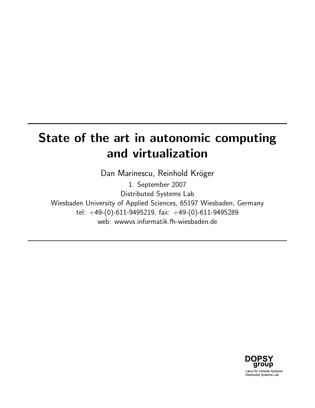# State of the art in autonomic computing and virtualization

Dan Marinescu, Reinhold Kröger

1. September 2007 Distributed Systems Lab Wiesbaden University of Applied Sciences, 65197 Wiesbaden, Germany tel:  $+49-(0)-611-9495219$ , fax:  $+49-(0)-611-9495289$ web: wwwvs.informatik.fh-wiesbaden.de

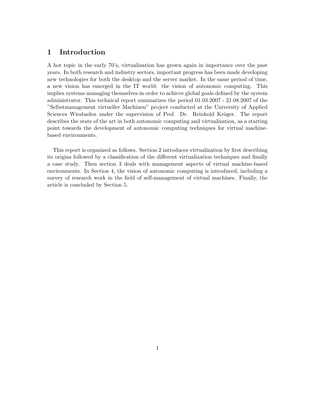# 1 Introduction

A hot topic in the early 70's, virtualization has grown again in importance over the past years. In both research and industry sectors, important progress has been made developing new technologies for both the desktop and the server market. In the same period of time, a new vision has emerged in the IT world: the vision of autonomic computing. This implies systems managing themselves in order to achieve global goals defined by the system administrator. This technical report summarizes the period 01.03.2007 - 21.08.2007 of the "Selbstmanagement virtueller Machinen" project conducted at the University of Applied Sciences Wiesbaden under the supervision of Prof. Dr. Reinhold Kröger. The report describes the state of the art in both autonomic computing and virtualization, as a starting point towards the development of autonomic computing techniques for virtual machinebased environments.

This report is organized as follows. Section 2 introduces virtualization by first describing its origins followed by a classification of the different virtualization techniques and finally a case study. Then section 3 deals with management aspects of virtual machine-based environments. In Section 4, the vision of autonomic computing is introduced, including a survey of research work in the field of self-management of virtual machines. Finally, the article is concluded by Section 5.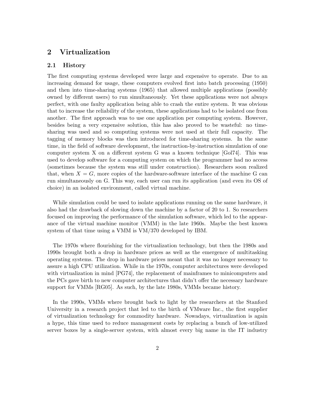# 2 Virtualization

## 2.1 History

The first computing systems developed were large and expensive to operate. Due to an increasing demand for usage, these computers evolved first into batch processing (1950) and then into time-sharing systems (1965) that allowed multiple applications (possibly owned by different users) to run simultaneously. Yet these applications were not always perfect, with one faulty application being able to crash the entire system. It was obvious that to increase the reliability of the system, these applications had to be isolated one from another. The first approach was to use one application per computing system. However, besides being a very expensive solution, this has also proved to be wasteful: no timesharing was used and so computing systems were not used at their full capacity. The tagging of memory blocks was then introduced for time-sharing systems. In the same time, in the field of software development, the instruction-by-instruction simulation of one computer system X on a different system G was a known technique [Gol74]. This was used to develop software for a computing system on which the programmer had no access (sometimes because the system was still under construction). Researchers soon realized that, when  $X = G$ , more copies of the hardware-software interface of the machine G can run simultaneously on G. This way, each user can run its application (and even its OS of choice) in an isolated environment, called virtual machine.

While simulation could be used to isolate applications running on the same hardware, it also had the drawback of slowing down the machine by a factor of 20 to 1. So researchers focused on improving the performance of the simulation software, which led to the appearance of the virtual machine monitor (VMM) in the late 1960s. Maybe the best known system of that time using a VMM is VM/370 developed by IBM.

The 1970s where flourishing for the virtualization technology, but then the 1980s and 1990s brought both a drop in hardware prices as well as the emergence of multitasking operating systems. The drop in hardware prices meant that it was no longer necessary to assure a high CPU utilization. While in the 1970s, computer architectures were developed with virtualization in mind [PG74], the replacement of mainframes to minicomputers and the PCs gave birth to new computer architectures that didn't offer the necessary hardware support for VMMs [RG05]. As such, by the late 1980s, VMMs became history.

In the 1990s, VMMs where brought back to light by the researchers at the Stanford University in a research project that led to the birth of VMware Inc., the first supplier of virtualization technology for commodity hardware. Nowadays, virtualization is again a hype, this time used to reduce management costs by replacing a bunch of low-utilized server boxes by a single-server system, with almost every big name in the IT industry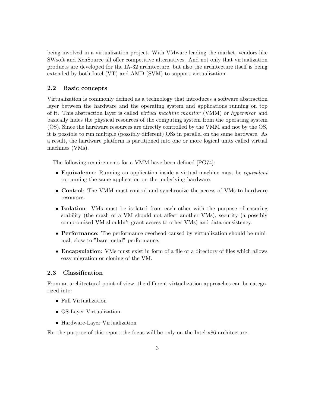being involved in a virtualization project. With VMware leading the market, vendors like SWsoft and XenSource all offer competitive alternatives. And not only that virtualization products are developed for the IA-32 architecture, but also the architecture itself is being extended by both Intel (VT) and AMD (SVM) to support virtualization.

## 2.2 Basic concepts

Virtualization is commonly defined as a technology that introduces a software abstraction layer between the hardware and the operating system and applications running on top of it. This abstraction layer is called virtual machine monitor (VMM) or hypervisor and basically hides the physical resources of the computing system from the operating system (OS). Since the hardware resources are directly controlled by the VMM and not by the OS, it is possible to run multiple (possibly different) OSs in parallel on the same hardware. As a result, the hardware platform is partitioned into one or more logical units called virtual machines (VMs).

The following requirements for a VMM have been defined [PG74]:

- Equivalence: Running an application inside a virtual machine must be *equivalent* to running the same application on the underlying hardware.
- Control: The VMM must control and synchronize the access of VMs to hardware resources.
- Isolation: VMs must be isolated from each other with the purpose of ensuring stability (the crash of a VM should not affect another VMs), security (a possibly compromised VM shouldn't grant access to other VMs) and data consistency.
- **Performance:** The performance overhead caused by virtualization should be minimal, close to "bare metal" performance.
- Encapsulation: VMs must exist in form of a file or a directory of files which allows easy migration or cloning of the VM.

### 2.3 Classification

From an architectural point of view, the different virtualization approaches can be categorized into:

- Full Virtualization
- OS-Layer Virtualization
- Hardware-Layer Virtualization

For the purpose of this report the focus will be only on the Intel x86 architecture.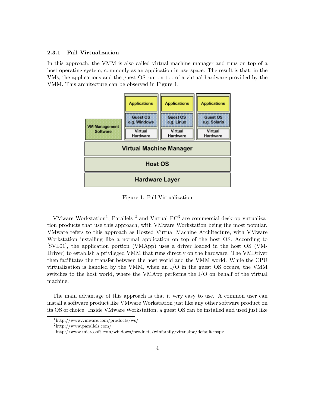#### 2.3.1 Full Virtualization

In this approach, the VMM is also called virtual machine manager and runs on top of a host operating system, commonly as an application in userspace. The result is that, in the VMs, the applications and the guest OS run on top of a virtual hardware provided by the VMM. This architecture can be observed in Figure 1.



Figure 1: Full Virtualization

VMware Workstation<sup>1</sup>, Parallels<sup>2</sup> and Virtual  $PC<sup>3</sup>$  are commercial desktop virtualization products that use this approach, with VMware Workstation being the most popular. VMware refers to this approach as Hosted Virtual Machine Architecture, with VMware Workstation installing like a normal application on top of the host OS. According to [SVL01], the application portion (VMApp) uses a driver loaded in the host OS (VM-Driver) to establish a privileged VMM that runs directly on the hardware. The VMDriver then facilitates the transfer between the host world and the VMM world. While the CPU virtualization is handled by the VMM, when an I/O in the guest OS occurs, the VMM switches to the host world, where the VMApp performs the I/O on behalf of the virtual machine.

The main advantage of this approach is that it very easy to use. A common user can install a software product like VMware Workstation just like any other software product on its OS of choice. Inside VMware Workstation, a guest OS can be installed and used just like

<sup>1</sup>http://www.vmware.com/products/ws/

<sup>2</sup>http://www.parallels.com/

<sup>3</sup>http://www.microsoft.com/windows/products/winfamily/virtualpc/default.mspx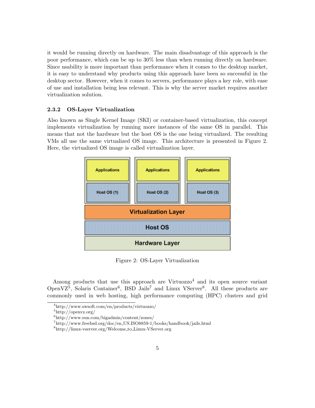it would be running directly on hardware. The main disadvantage of this approach is the poor performance, which can be up to 30% less than when running directly on hardware. Since usability is more important than performance when it comes to the desktop market, it is easy to understand why products using this approach have been so successful in the desktop sector. However, when it comes to servers, performance plays a key role, with ease of use and installation being less relevant. This is why the server market requires another virtualization solution.

#### 2.3.2 OS-Layer Virtualization

Also known as Single Kernel Image (SKI) or container-based virtualization, this concept implements virtualization by running more instances of the same OS in parallel. This means that not the hardware but the host OS is the one being virtualized. The resulting VMs all use the same virtualized OS image. This architecture is presented in Figure 2. Here, the virtualized OS image is called virtualization layer.



Figure 2: OS-Layer Virtualization

Among products that use this approach are Virtuozzo<sup>4</sup> and its open source variant OpenV $Z^5$ , Solaris Container<sup>6</sup>, BSD Jails<sup>7</sup> and Linux VServer<sup>8</sup>. All these products are commonly used in web hosting, high performance computing (HPC) clusters and grid

<sup>4</sup>http://www.swsoft.com/en/products/virtuozzo/

 $5$ http://openvz.org/

<sup>6</sup>http://www.sun.com/bigadmin/content/zones/

<sup>7</sup>http://www.freebsd.org/doc/en US.ISO8859-1/books/handbook/jails.html

<sup>8</sup>http://linux-vserver.org/Welcome to Linux-VServer.org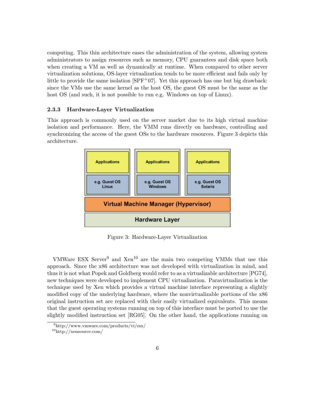computing. This thin architecture eases the administration of the system, allowing system administrators to assign resources such as memory, CPU guarantees and disk space both when creating a VM as well as dynamically at runtime. When compared to other server virtualization solutions, OS-layer virtualization tends to be more efficient and fails only by little to provide the same isolation  $[SPF<sup>+</sup>07]$ . Yet this approach has one but big drawback: since the VMs use the same kernel as the host OS, the guest OS must be the same as the host OS (and such, it is not possible to run e.g. Windows on top of Linux).

#### 2.3.3 Hardware-Layer Virtualization

This approach is commonly used on the server market due to its high virtual machine isolation and performance. Here, the VMM runs directly on hardware, controlling and synchronizing the access of the guest OSs to the hardware resources. Figure 3 depicts this architecture.



Figure 3: Hardware-Layer Virtualization

VMWare ESX Server<sup>9</sup> and Xen<sup>10</sup> are the main two competing VMMs that use this approach. Since the x86 architecture was not developed with virtualization in mind, and thus it is not what Popek and Goldberg would refer to as a virtualizable architecture [PG74], new techniques were developed to implement CPU virtualization. Paravirtualization is the technique used by Xen which provides a virtual machine interface representing a slightly modified copy of the underlying hardware, where the nonvirtualizable portions of the x86 original instruction set are replaced with their easily virtualized equivalents. This means that the guest operating systems running on top of this interface must be ported to use the slightly modified instruction set [RG05]. On the other hand, the applications running on

<sup>9</sup>http://www.vmware.com/products/vi/esx/

 $\rm ^{10}$  http://xensource.com/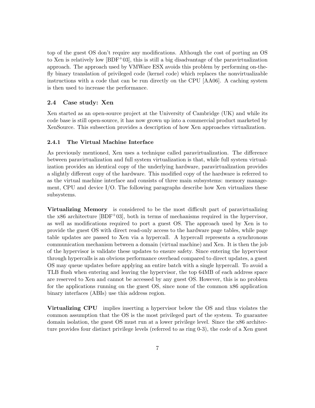top of the guest OS don't require any modifications. Although the cost of porting an OS to Xen is relatively low  $[BDF^+03]$ , this is still a big disadvantage of the paravirtualization approach. The approach used by VMWare ESX avoids this problem by performing on-thefly binary translation of privileged code (kernel code) which replaces the nonvirtualizable instructions with a code that can be run directly on the CPU [AA06]. A caching system is then used to increase the performance.

## 2.4 Case study: Xen

Xen started as an open-source project at the University of Cambridge (UK) and while its code base is still open-source, it has now grown up into a commercial product marketed by XenSource. This subsection provides a description of how Xen approaches virtualization.

#### 2.4.1 The Virtual Machine Interface

As previously mentioned, Xen uses a technique called paravirtualization. The difference between paravirtualization and full system virtualization is that, while full system virtualization provides an identical copy of the underlying hardware, paravirtualization provides a slightly different copy of the hardware. This modified copy of the hardware is referred to as the virtual machine interface and consists of three main subsystems: memory management, CPU and device  $I/O$ . The following paragraphs describe how Xen virtualizes these subsystems.

Virtualizing Memory is considered to be the most difficult part of paravirtualizing the x86 architecture  $[BDF^+03]$ , both in terms of mechanisms required in the hypervisor, as well as modifications required to port a guest OS. The approach used by Xen is to provide the guest OS with direct read-only access to the hardware page tables, while page table updates are passed to Xen via a hypercall. A hypercall represents a synchronous communication mechanism between a domain (virtual machine) and Xen. It is then the job of the hypervisor is validate these updates to ensure safety. Since entering the hypervisor through hypercalls is an obvious performance overhead compared to direct updates, a guest OS may queue updates before applying an entire batch with a single hypercall. To avoid a TLB flush when entering and leaving the hypervisor, the top 64MB of each address space are reserved to Xen and cannot be accessed by any guest OS. However, this is no problem for the applications running on the guest OS, since none of the common x86 application binary interfaces (ABIs) use this address region.

Virtualizing CPU implies inserting a hypervisor below the OS and thus violates the common assumption that the OS is the most privileged part of the system. To guarantee domain isolation, the guest OS must run at a lower privilege level. Since the x86 architecture provides four distinct privilege levels (referred to as ring 0-3), the code of a Xen guest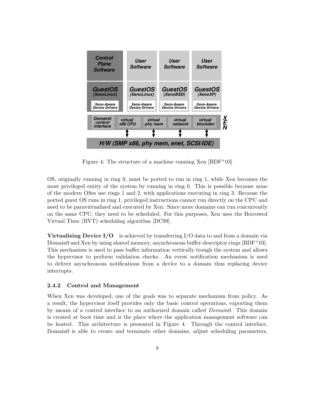

**Figure** 4: The structure of a machine running Xen [BDF<sup>+</sup>03]

OS, originally running in ring 0, must be ported to run in ring 1, while Xen becomes the most privileged entity of the system by running in ring 0. This is possible because none need to be paravirtualized and executed by Xen. Since more domains can run concurrently on the same CPU, they need to be scheduled. For this purposes, Xen uses the Borrowed Virtual Time (BVT) scheduling algorithm [DC99].  $\sum_{k=1}^{\infty}$ rent discussion of guest OSES for guest OSES for  $\alpha$  $m_{\rm th}$ and  $\sum_{i=1}^{\infty}$ **3.1 Control Transfer: Hypercalls and Events** of the modern OSes use rings 1 and 2, with applications executing in ring 3. Because the ported guest OS runs in ring 1, privileged instructions cannot run directly on the CPU and

Virtualizing Device  $I/O$  is achieved by transferring  $I/O$  data to and from a domain via Domain0 and Xen by using shared memory, asynchronous buffer-descriptor rings  $[BDF^+03]$ . This mechanism is used to pass buffer information vertically trough the system and allows the hypervisor to perform validation checks. An event notification mechanism is used to deliver asynchronous notifications from a device to a domain thus replacing device be made using a *hypercall*, while notifications are delivered to do- $\lceil 03 \rceil$ .  $\sqrt{S}$  $s^2$  into the hypervisor to perform a privileged operation,  $s^2$ and use of  $\alpha$  system calls in conventional operations in conventional operating system calls in conventional operations  $\alpha$ interrupts.

# 2.4.2 Control and Management

When Xen was developed, one of the goals was to separate mechanism from policy. As hence a result, the hypervisor itself provides only the basic control operations, exporting them by means of a control interface to an authorized domain called *Domain0*. This domain<br>is created at boot time and is the place where the application management software can be hosted. This architecture is presented in Figure 4. Through the control interface, Domain0 is able to create and terminate other domains, adjust scheduling parameters,  $\mathcal{C}$ as  $\frac{12}{10}$  $\frac{1}{\pi}$ mechanisms and allows lightweight notified notified notified notified notified notified notified notified notified notified notified notified notified notified notified notified notified notified notified notifi  $\tan$  $t = 1$  $\text{ters},$ is created at boot time and is the place where the application management software can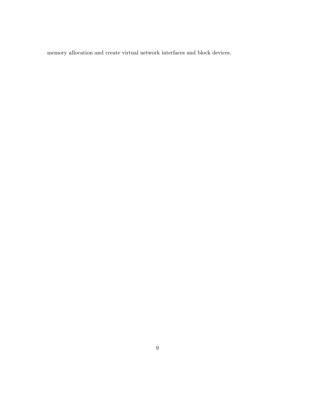memory allocation and create virtual network interfaces and block devices.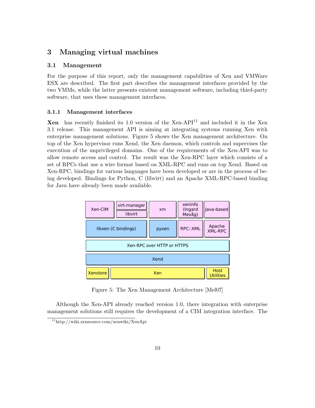# 3 Managing virtual machines

## 3.1 Management

For the purpose of this report, only the management capabilities of Xen and VMWare ESX are described. The first part describes the management interfaces provided by the two VMMs, while the latter presents existent management software, including third-party software, that uses these management interfaces.

#### 3.1.1 Management interfaces

**Xen** has recently finished its 1.0 version of the Xen-API<sup>11</sup> and included it in the Xen 3.1 release. This management API is aiming at integrating systems running Xen with enterprise management solutions. Figure 5 shows the Xen management architecture. On top of the Xen hypervisor runs Xend, the Xen daemon, which controls and supervises the execution of the unprivileged domains. One of the requirements of the Xen-API was to allow remote access and control. The result was the Xen-RPC layer which consists of a set of RPCs that use a wire format based on XML-RPC and runs on top Xend. Based on Xen-RPC, bindings for various languages have been developed or are in the process of being developed. Bindings for Python, C (libvirt) and an Apache XML-RPC-based binding for Java have already been made available.  $\alpha$  % and  $\alpha$  and  $\alpha$ .

| Xen-CIM  | virt-manager<br>libvirt | xm                         | xeninfo<br>(Ingard<br>Mevåg) | Java-based                      |
|----------|-------------------------|----------------------------|------------------------------|---------------------------------|
|          | libxen (C bindings)     | pyxen                      | RPC::XML                     | Apache<br><b>XML-RPC</b>        |
|          |                         | Xen-RPC over HTTP or HTTPS |                              |                                 |
|          |                         | Xend                       |                              |                                 |
| Xenstore |                         | Xen                        |                              | <b>Host</b><br><b>Utilities</b> |

Figure 5: The Xen Management Architecture [Mel07]

Although the Xen-API already reached version 1.0, there integration with enterprise management solutions still requires the development of a CIM integration interface. The

<sup>11</sup>http://wiki.xensource.com/xenwiki/XenApi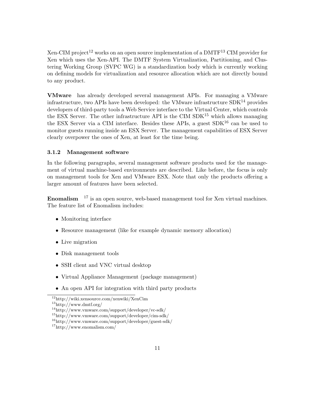Xen-CIM project<sup>12</sup> works on an open source implementation of a  $DMTF^{13}$  CIM provider for Xen which uses the Xen-API. The DMTF System Virtualization, Partitioning, and Clustering Working Group (SVPC WG) is a standardization body which is currently working on defining models for virtualization and resource allocation which are not directly bound to any product.

VMware has already developed several management APIs. For managing a VMware infrastructure, two APIs have been developed: the VMware infrastructure  $SDK<sup>14</sup>$  provides developers of third-party tools a Web Service interface to the Virtual Center, which controls the ESX Server. The other infrastructure API is the CIM  $SDK<sup>15</sup>$  which allows managing the ESX Server via a CIM interface. Besides these APIs, a guest  $SDK^{16}$  can be used to monitor guests running inside an ESX Server. The management capabilities of ESX Server clearly overpower the ones of Xen, at least for the time being.

#### 3.1.2 Management software

In the following paragraphs, several management software products used for the management of virtual machine-based environments are described. Like before, the focus is only on management tools for Xen and VMware ESX. Note that only the products offering a larger amount of features have been selected.

**Enomalism**  $17$  is an open source, web-based management tool for Xen virtual machines. The feature list of Enomalism includes:

- Monitoring interface
- Resource management (like for example dynamic memory allocation)
- Live migration
- Disk management tools
- SSH client and VNC virtual desktop
- Virtual Appliance Management (package management)
- An open API for integration with third party products

<sup>12</sup>http://wiki.xensource.com/xenwiki/XenCim

<sup>13</sup>http://www.dmtf.org/

<sup>14</sup>http://www.vmware.com/support/developer/vc-sdk/

<sup>15</sup>http://www.vmware.com/support/developer/cim-sdk/

<sup>16</sup>http://www.vmware.com/support/developer/guest-sdk/

<sup>17</sup>http://www.enomalism.com/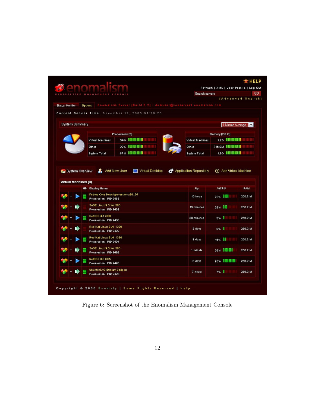| Enomalism Server (Build 0.2) : demuser@xenserverf.enomalism.com<br>Options<br>Current Server Time: December 12, 2005 01:20:23<br>Processors (2)<br><b>54% 000000000</b><br>Virtual Machines<br><b>33% HIIIIIIIIII</b><br>Other<br>87% <b>HIIIIIIIIII</b><br>System Total<br>Add New User<br>Virtual Desktop<br>æ<br><b>Nu</b> System Overview<br>Y.<br>Virtual Machines (8)<br><b>HB</b> Display Name<br>Fedora Core Development for x86_64<br>Powered on   PID 9488 | Virtual Machines<br>Other<br>System Total<br><b>Applicaiton Repository</b><br>Up | 1 Minute Average<br>Memory (2.0 G)<br><b>1.26 MINIMUM</b><br>716.8М ШШШШ<br><b>1.96 HIIIIIIIIIII</b><br>Add Virtual Machine<br>⊕ |              |
|----------------------------------------------------------------------------------------------------------------------------------------------------------------------------------------------------------------------------------------------------------------------------------------------------------------------------------------------------------------------------------------------------------------------------------------------------------------------|----------------------------------------------------------------------------------|----------------------------------------------------------------------------------------------------------------------------------|--------------|
|                                                                                                                                                                                                                                                                                                                                                                                                                                                                      |                                                                                  |                                                                                                                                  | $\mathbf{v}$ |
|                                                                                                                                                                                                                                                                                                                                                                                                                                                                      |                                                                                  |                                                                                                                                  |              |
|                                                                                                                                                                                                                                                                                                                                                                                                                                                                      |                                                                                  |                                                                                                                                  |              |
|                                                                                                                                                                                                                                                                                                                                                                                                                                                                      |                                                                                  |                                                                                                                                  |              |
|                                                                                                                                                                                                                                                                                                                                                                                                                                                                      |                                                                                  |                                                                                                                                  |              |
|                                                                                                                                                                                                                                                                                                                                                                                                                                                                      |                                                                                  |                                                                                                                                  |              |
|                                                                                                                                                                                                                                                                                                                                                                                                                                                                      |                                                                                  |                                                                                                                                  |              |
|                                                                                                                                                                                                                                                                                                                                                                                                                                                                      |                                                                                  | <b>SSCPU</b>                                                                                                                     | <b>RAM</b>   |
|                                                                                                                                                                                                                                                                                                                                                                                                                                                                      |                                                                                  |                                                                                                                                  |              |
|                                                                                                                                                                                                                                                                                                                                                                                                                                                                      | 16 hours                                                                         | nan<br>34%                                                                                                                       | 266.2 M      |
| SuSE Linux 9.3 for i386<br>Powered on   PID 9489                                                                                                                                                                                                                                                                                                                                                                                                                     | 15 minutes                                                                       | 100<br>28%                                                                                                                       | 266.2 M      |
| CentOS 4.1 i386<br>Powered on   PID 9488                                                                                                                                                                                                                                                                                                                                                                                                                             | 38 minutes                                                                       | 3%<br>U                                                                                                                          | 266.2 M      |
| Red Hat Linux EL4 : i386<br>Powered on   PID 9490                                                                                                                                                                                                                                                                                                                                                                                                                    | 3 days                                                                           | ۰D<br>3%                                                                                                                         | 266.2 M      |
| Red Hat Linux EL4 : i386<br>Powered on   PID 9491                                                                                                                                                                                                                                                                                                                                                                                                                    | 8 days                                                                           | m<br>15%                                                                                                                         | 266.2 M      |
| SuSE Linux 9.3 for i386<br>Powered on   PID 9492                                                                                                                                                                                                                                                                                                                                                                                                                     | 1 minute                                                                         | na nda oo<br>69%                                                                                                                 | 266.2 M      |
| NetBSD 3.0 RC5<br>Powered on   PID 9493                                                                                                                                                                                                                                                                                                                                                                                                                              | 8 days                                                                           | OBDOBOGO O<br>95%                                                                                                                | 266.2 M      |
| Ubuntu 5.10 (Breezy Badger)                                                                                                                                                                                                                                                                                                                                                                                                                                          |                                                                                  |                                                                                                                                  |              |
|                                                                                                                                                                                                                                                                                                                                                                                                                                                                      |                                                                                  |                                                                                                                                  |              |

Figure 6: Screenshot of the Enomalism Management Console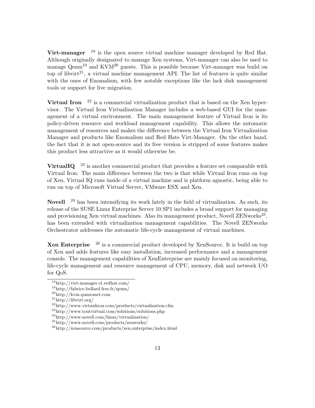Virt-manager  $18$  is the open source virtual machine manager developed by Red Hat. Although originally designated to manage Xen systems, Virt-manager can also be used to manage  $Qemu^{19}$  and KVM<sup>20</sup> guests. This is possible because Virt-manager was build on top of libvirt<sup>21</sup>, a virtual machine management API. The list of features is quite similar with the ones of Enomalism, with few notable exceptions like the lack disk management tools or support for live migration.

Virtual Iron  $^{22}$  is a commercial virtualization product that is based on the Xen hypervisor. The Virtual Iron Virtualization Manager includes a web-based GUI for the management of a virtual environment. The main management feature of Virtual Iron is its policy-driven resource and workload management capability. This allows the automatic management of resources and makes the difference between the Virtual Iron Virtualization Manager and products like Enomalism and Red Hats Virt-Manager. On the other hand, the fact that it is not open-source and its free version is stripped of some features makes this product less attractive as it would otherwise be.

VirtualIQ  $^{23}$  is another commercial product that provides a feature set comparable with Virtual Iron. The main difference between the two is that while Virtual Iron runs on top of Xen, Virtual IQ runs inside of a virtual machine and is platform agnostic, being able to run on top of Microsoft Virtual Server, VMware ESX and Xen.

Novell <sup>24</sup> has been intensifying its work lately in the field of virtualization. As such, its release of the SUSE Linux Enterprise Server 10 SP1 includes a broad support for managing and provisioning Xen virtual machines. Also its management product, Novell  $\text{ZENworks}^{25}$ , has been extended with virtualization management capabilities. The Novell ZENworks Orchestrator addresses the automatic life-cycle management of virtual machines.

**Xen Enterprise**  $^{26}$  is a commercial product developed by XenSource. It is build on top of Xen and adds features like easy installation, increased performance and a management console. The management capabilities of XenEnterprise are mainly focused on monitoring, life-cycle management and resource management of CPU, memory, disk and network I/O for QoS.

<sup>18</sup>http://virt-manager.et.redhat.com/

<sup>19</sup>http://fabrice.bellard.free.fr/qemu/

<sup>20</sup>http://kvm.qumranet.com

<sup>21</sup>http://libvirt.org/

 $^{22}$ http://www.virtualiron.com/products/virtualization.cfm

<sup>23</sup>http://www.toutvirtual.com/solutions/solutions.php

 $^{24}\mathrm{http://www.novell.com/linux/virtualization/}$ 

<sup>25</sup>http://www.novell.com/products/zenworks/

<sup>26</sup>http://xensource.com/products/xen enterprise/index.html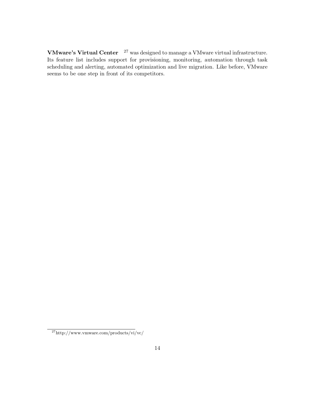VMware's Virtual Center <sup>27</sup> was designed to manage a VMware virtual infrastructure. Its feature list includes support for provisioning, monitoring, automation through task scheduling and alerting, automated optimization and live migration. Like before, VMware seems to be one step in front of its competitors.

<sup>27</sup>http://www.vmware.com/products/vi/vc/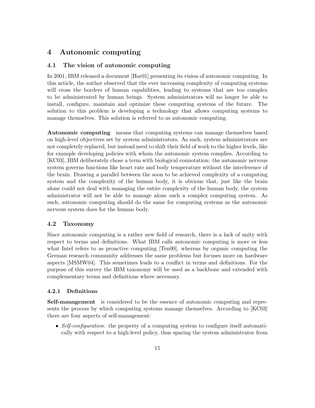# 4 Autonomic computing

# 4.1 The vision of autonomic computing

In 2001, IBM released a document [Hor01] presenting its vision of autonomic computing. In this article, the author observed that the ever increasing complexity of computing systems will cross the borders of human capabilities, leading to systems that are too complex to be administrated by human beings. System administrators will no longer be able to install, configure, maintain and optimize these computing systems of the future. The solution to this problem is developing a technology that allows computing systems to manage themselves. This solution is referred to as autonomic computing.

Autonomic computing means that computing systems can manage themselves based on high-level objectives set by system administrators. As such, system administrators are not completely replaced, but instead need to shift their field of work to the higher levels, like for example developing policies with whom the autonomic system complies. According to [KC03], IBM deliberately chose a term with biological connotation: the autonomic nervous system governs functions like heart rate and body temperature without the interference of the brain. Drawing a parallel between the soon to be achieved complexity of a computing system and the complexity of the human body, it is obvious that, just like the brain alone could not deal with managing the entire complexity of the human body, the system administrator will not be able to manage alone such a complex computing system. As such, autonomic computing should do the same for computing systems as the autonomic nervous system does for the human body.

# 4.2 Taxonomy

Since autonomic computing is a rather new field of research, there is a lack of unity with respect to terms and definitions. What IBM calls autonomic computing is more or less what Intel refers to as proactive computing [Ten00], whereas by organic computing the German research community addresses the same problems but focuses more on hardware aspects [MSMW04]. This sometimes leads to a conflict in terms and definitions. For the purpose of this survey the IBM taxonomy will be used as a backbone and extended with complementary terms and definitions where necessary.

#### 4.2.1 Definitions

Self-management is considered to be the essence of autonomic computing and represents the process by which computing systems manage themselves. According to [KC03] there are four aspects of self-management:

• Self-configuration: the property of a computing system to configure itself automatically with respect to a high-level policy, thus sparing the system administrator from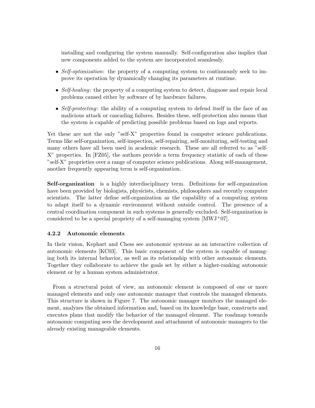installing and configuring the system manually. Self-configuration also implies that new components added to the system are incorporated seamlessly.

- Self-optimization: the property of a computing system to continuously seek to improve its operation by dynamically changing its parameters at runtime.
- Self-healing: the property of a computing system to detect, diagnose and repair local problems caused either by software of by hardware failures.
- Self-protecting: the ability of a computing system to defend itself in the face of an malicious attack or cascading failures. Besides these, self-protection also means that the system is capable of predicting possible problems based on logs and reports.

Yet these are not the only "self-X" properties found in computer science publications. Terms like self-organization, self-inspection, self-repairing, self-monitoring, self-testing and many others have all been used in academic research. These are all referred to as "self-X" properties. In [FZ05], the authors provide a term frequency statistic of each of these "self-X" proprieties over a range of computer science publications. Along self-management, another frequently appearing term is self-organization.

Self-organization is a highly interdisciplinary term. Definitions for self-organization have been provided by biologists, physicists, chemists, philosophers and recently computer scientists. The latter define self-organization as the capability of a computing system to adapt itself to a dynamic environment without outside control. The presence of a central coordination component in such systems is generally excluded. Self-organization is considered to be a special propriety of a self-managing system  $\text{[MWJ}^{+}07\text{]}$ .

### 4.2.2 Autonomic elements

In their vision, Kephart and Chess see autonomic systems as an interactive collection of autonomic elements [KC03]. This basic component of the system is capable of managing both its internal behavior, as well as its relationship with other autonomic elements. Together they collaborate to achieve the goals set by either a higher-ranking autonomic element or by a human system administrator.

From a structural point of view, an autonomic element is composed of one or more managed elements and only one autonomic manager that controls the managed elements. This structure is shown in Figure 7. The autonomic manager monitors the managed element, analyzes the obtained information and, based on its knowledge base, constructs and executes plans that modify the behavior of the managed element. The roadmap towards autonomic computing sees the development and attachment of autonomic managers to the already existing manageable elements.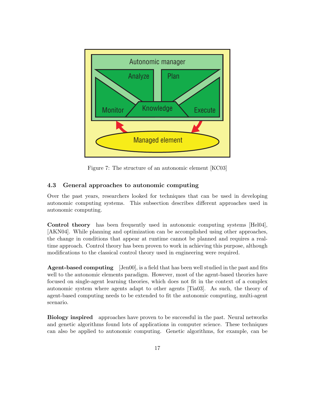

Figure 7: The structure of an autonomic element [KC03]

## 4.3 General approaches to autonomic computing

autonomic computing systems. This subsection describes different approaches used in autonomic computing. Over the past years, researchers looked for techniques that can be used in developing

[AKN04]. While planning and optimization can be accomplished using other approaches, the change in conditions that appear at runtime cannot be planned and requires a real-<br>time approach. Control theory has been proven to work in achieving this purpose, although modifications to the classical control theory used in engineering were required. Control theory has been frequently used in autonomic computing systems [Hel04], the change in conditions that appear at runtime cannot be planned and requires a real-

**Agent-based computing** [Jen00], is a field that has been well studied in the past and fits and the autonomic elements paradigm. However, most of the agent-based theories have focused on single-agent learning theories, which does not fit in the context of a complex autonomic system where agents adapt to other agents [Tiaoo]. As such, the theory of agent-based computing needs to be extended to fit the autonomic computing, multi-agent autonomic system where agents adapt to other agents [Tia03]. As such, the theory of scenario.

Biology inspired approaches have proven to be successful in the past. Neural networks and genetic algorithms found lots of applications in computer science. These techniques can also be applied to autonomic computing. Genetic algorithms, for example, can be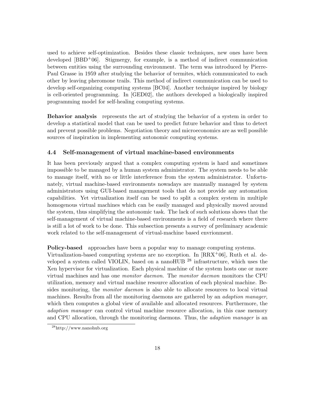used to achieve self-optimization. Besides these classic techniques, new ones have been developed  $[BBD^+06]$ . Stigmergy, for example, is a method of indirect communication between entities using the surrounding environment. The term was introduced by Pierre-Paul Grasse in 1959 after studying the behavior of termites, which communicated to each other by leaving pheromone trails. This method of indirect communication can be used to develop self-organizing computing systems [BC04]. Another technique inspired by biology is cell-oriented programming. In [GED02], the authors developed a biologically inspired programming model for self-healing computing systems.

Behavior analysis represents the art of studying the behavior of a system in order to develop a statistical model that can be used to predict future behavior and thus to detect and prevent possible problems. Negotiation theory and microeconomics are as well possible sources of inspiration in implementing autonomic computing systems.

## 4.4 Self-management of virtual machine-based environments

It has been previously argued that a complex computing system is hard and sometimes impossible to be managed by a human system administrator. The system needs to be able to manage itself, with no or little interference from the system administrator. Unfortunately, virtual machine-based environments nowadays are manually managed by system administrators using GUI-based management tools that do not provide any automation capabilities. Yet virtualization itself can be used to split a complex system in multiple homogenous virtual machines which can be easily managed and physically moved around the system, thus simplifying the autonomic task. The lack of such solutions shows that the self-management of virtual machine-based environments is a field of research where there is still a lot of work to be done. This subsection presents a survey of preliminary academic work related to the self-management of virtual-machine based envrionment.

Policy-based approaches have been a popular way to manage computing systems.

Virtualization-based computing systems are no exception. In  $[RRX<sup>+</sup>06]$ , Ruth et al. developed a system called VIOLIN, based on a nanoHUB  $^{28}$  infrastructure, which uses the Xen hypervisor for virtualization. Each physical machine of the system hosts one or more virtual machines and has one monitor daemon. The monitor daemon monitors the CPU utilization, memory and virtual machine resource allocation of each physical machine. Besides monitoring, the *monitor daemon* is also able to allocate resources to local virtual machines. Results from all the monitoring daemons are gathered by an *adaption manager*, which then computes a global view of available and allocated resources. Furthermore, the adaption manager can control virtual machine resource allocation, in this case memory and CPU allocation, through the monitoring daemons. Thus, the *adaption manager* is an

 $^{28}$ http://www.nanohub.org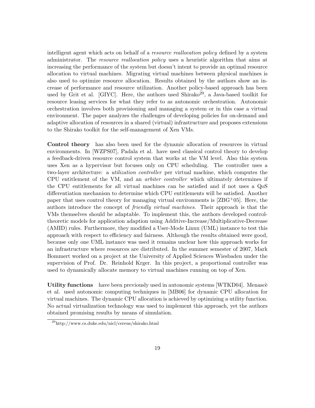intelligent agent which acts on behalf of a *resource reallocation policy* defined by a system administrator. The resource reallocation policy uses a heuristic algorithm that aims at increasing the performance of the system but doesn't intent to provide an optimal resource allocation to virtual machines. Migrating virtual machines between physical machines is also used to optimize resource allocation. Results obtained by the authors show an increase of performance and resource utilization. Another policy-based approach has been used by Grit et al. [GIYC]. Here, the authors used Shirako<sup>29</sup>, a Java-based toolkit for resource leasing services for what they refer to as autonomic orchestration. Autonomic orchestration involves both provisioning and managing a system or in this case a virtual environment. The paper analyzes the challenges of developing policies for on-demand and adaptive allocation of resources in a shared (virtual) infrastructure and proposes extensions to the Shirako toolkit for the self-management of Xen VMs.

Control theory has also been used for the dynamic allocation of resources in virtual environments. In [WZPS07], Padala et al. have used classical control theory to develop a feedback-driven resource control system that works at the VM level. Also this system uses Xen as a hypervisor but focuses only on CPU scheduling. The controller uses a two-layer architecture: a utilization controller per virtual machine, which computes the CPU entitlement of the VM, and an arbiter controller which ultimately determines if the CPU entitlements for all virtual machines can be satisfied and if not uses a QoS differentiation mechanism to determine which CPU entitlements will be satisfied. Another paper that uses control theory for managing virtual environments is  $[ZBG^+05]$ . Here, the authors introduce the concept of friendly virtual machines. Their approach is that the VMs themselves should be adaptable. To implement this, the authors developed controltheoretic models for application adaption using Additive-Increase/Multiplicative-Decrease (AMID) rules. Furthermore, they modified a User-Mode Linux (UML) instance to test this approach with respect to efficiency and fairness. Although the results obtained were good, because only one UML instance was used it remains unclear how this approach works for an infrastructure where resources are distributed. In the summer semester of 2007, Mark Bommert worked on a project at the University of Applied Sciences Wiesbaden under the supervision of Prof. Dr. Reinhold Krger. In this project, a proportional controller was used to dynamically allocate memory to virtual machines running on top of Xen.

Utility functions have been previously used in autonomic systems [WTKD04]. Menascè et al. used autonomic computing techniques in [MB06] for dynamic CPU allocation for virtual machines. The dynamic CPU allocation is achieved by optimizing a utility function. No actual virtualization technology was used to implement this approach, yet the authors obtained promising results by means of simulation.

<sup>29</sup>http://www.cs.duke.edu/nicl/cereus/shirako.html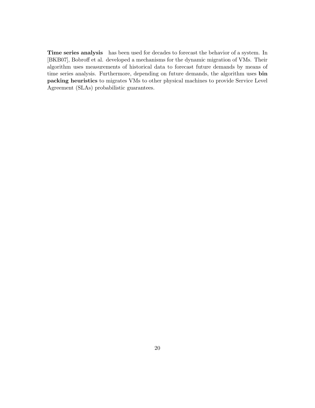Time series analysis has been used for decades to forecast the behavior of a system. In [BKB07], Bobroff et al. developed a mechanisms for the dynamic migration of VMs. Their algorithm uses measurements of historical data to forecast future demands by means of time series analysis. Furthermore, depending on future demands, the algorithm uses bin packing heuristics to migrates VMs to other physical machines to provide Service Level Agreement (SLAs) probabilistic guarantees.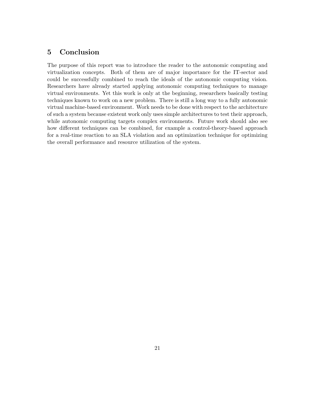# 5 Conclusion

The purpose of this report was to introduce the reader to the autonomic computing and virtualization concepts. Both of them are of major importance for the IT-sector and could be successfully combined to reach the ideals of the autonomic computing vision. Researchers have already started applying autonomic computing techniques to manage virtual environments. Yet this work is only at the beginning, researchers basically testing techniques known to work on a new problem. There is still a long way to a fully autonomic virtual machine-based environment. Work needs to be done with respect to the architecture of such a system because existent work only uses simple architectures to test their approach, while autonomic computing targets complex environments. Future work should also see how different techniques can be combined, for example a control-theory-based approach for a real-time reaction to an SLA violation and an optimization technique for optimizing the overall performance and resource utilization of the system.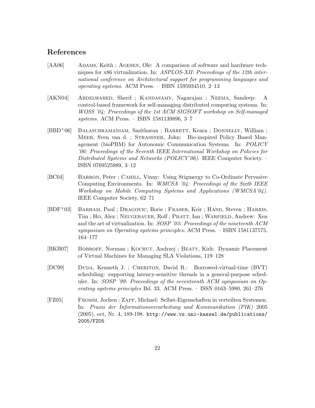# References

- [AA06] ADAMS, Keith ; AGESEN, Ole: A comparison of software and hardware techniques for x86 virtualization. In: ASPLOS-XII: Proceedings of the 12th international conference on Architectural support for programming languages and operating systems. ACM Press. – ISBN 1595934510, 2–13
- [AKN04] Abdelwahed, Sherif ; Kandasamy, Nagarajan ; Neema, Sandeep: A control-based framework for self-managing distributed computing systems. In: WOSS '04: Proceedings of the 1st ACM SIGSOFT workshop on Self-managed systems. ACM Press. – ISBN 1581139896, 3–7
- [BBD+06] Balasubramaniam, Sasitharan ; Barrett, Keara ; Donnelly, William ; Meer, Sven van d. ; Strassner, John: Bio-inspired Policy Based Management (bioPBM) for Autonomic Communication Systems. In: POLICY '06: Proceedings of the Seventh IEEE International Workshop on Policies for Distributed Systems and Networks (POLICY'06). IEEE Computer Society. – ISBN 0769525989, 3–12
- [BC04] Barron, Peter ; Cahill, Vinny: Using Stigmergy to Co-Ordinate Pervasive Computing Environments. In: WMCSA '04: Proceedings of the Sixth IEEE Workshop on Mobile Computing Systems and Applications (WMCSA'04). IEEE Computer Society, 62–71
- [BDF<sup>+</sup>03] BARHAM, Paul ; DRAGOVIC, Boris ; FRASER, Keir ; HAND, Steven ; HARRIS, Tim; Ho, Alex; NEUGEBAUER, Rolf; PRATT, Ian; WARFIELD, Andrew: Xen and the art of virtualization. In: SOSP '03: Proceedings of the nineteenth ACM symposium on Operating systems principles. ACM Press. – ISBN 1581137575, 164–177
- [BKB07] Bobroff, Norman ; Kochut, Andrzej ; Beaty, Kirk: Dynamic Placement of Virtual Machines for Managing SLA Violations, 119–128
- [DC99] Duda, Kenneth J. ; Cheriton, David R.: Borrowed-virtual-time (BVT) scheduling: supporting latency-sensitive threads in a general-purpose scheduler. In: SOSP '99: Proceedings of the seventeenth ACM symposium on Operating systems principles Bd. 33. ACM Press. – ISSN 0163–5980, 261–276
- [FZ05] Fromm, Jochen ; Zapf, Michael: Selbst-Eigenschaften in verteilten Systemen. In: Praxis der Informationsverarbeitung und Kommunikation (PIK) 2005 (2005), oct, Nr. 4, 189-198. http://www.vs.uni-kassel.de/publications/ 2005/FZ05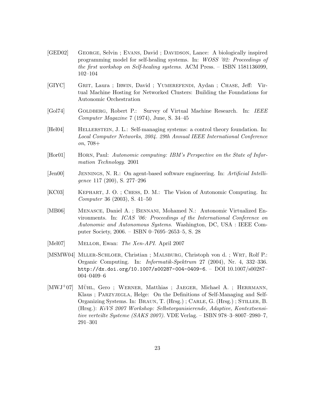- [GED02] George, Selvin ; Evans, David ; Davidson, Lance: A biologically inspired programming model for self-healing systems. In: WOSS '02: Proceedings of the first workshop on Self-healing systems. ACM Press. – ISBN 1581136099, 102–104
- [GIYC] Grit, Laura ; Irwin, David ; Yumerefendi, Aydan ; Chase, Jeff: Virtual Machine Hosting for Networked Clusters: Building the Foundations for Autonomic Orchestration
- [Gol74] Goldberg, Robert P.: Survey of Virtual Machine Research. In: IEEE Computer Magazine 7 (1974), June, S. 34–45
- [Hel04] Hellerstein, J. L.: Self-managing systems: a control theory foundation. In: Local Computer Networks, 2004. 29th Annual IEEE International Conference on, 708+
- [Hor01] Horn, Paul: Autonomic computing: IBM's Perspective on the State of Information Technology. 2001
- [Jen00] Jennings, N. R.: On agent-based software engineering. In: Artificial Intelligence 117 (200), S. 277–296
- [KC03] Kephart, J. O. ; Chess, D. M.: The Vision of Autonomic Computing. In: Computer 36 (2003), S. 41–50
- [MB06] Menasce, Daniel A. ; Bennani, Mohamed N.: Autonomic Virtualized Environments. In: ICAS '06: Proceedings of the International Conference on Autonomic and Autonomous Systems. Washington, DC, USA : IEEE Computer Society, 2006. – ISBN 0–7695–2653–5, S. 28
- [Mel07] MELLOR, Ewan: The Xen-API. April 2007
- [MSMW04] Mller-Schloer, Christian ; Malsburg, Christoph von d. ; Wrt, Rolf P.: Organic Computing. In: Informatik-Spektrum 27 (2004), Nr. 4, 332–336. http://dx.doi.org/10.1007/s00287-004-0409-6. – DOI 10.1007/s00287– 004–0409–6
- $[MWJ+07]$  MÜHL, Gero ; WERNER, Matthias ; JAEGER, Michael A. ; HERRMANN, Klaus ; PARZYJEGLA, Helge: On the Definitions of Self-Managing and Self-Organizing Systems. In: Braun, T. (Hrsg.) ; Carle, G. (Hrsg.) ; Stiller, B. (Hrsg.): KiVS 2007 Workshop: Selbstorganisierende, Adaptive, Kontextsensitive verteilte Systeme (SAKS 2007). VDE Verlag. – ISBN 978–3–8007–2980–7, 291–301